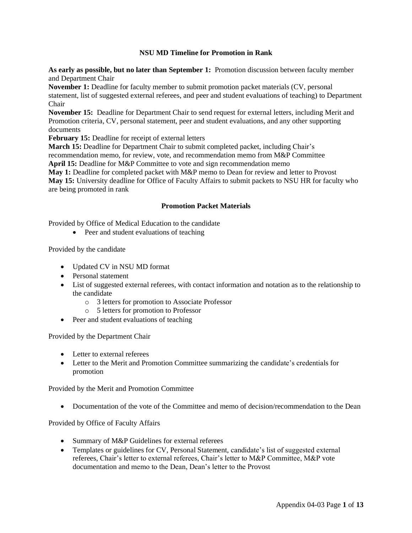#### **NSU MD Timeline for Promotion in Rank**

**As early as possible, but no later than September 1:** Promotion discussion between faculty member and Department Chair

**November 1:** Deadline for faculty member to submit promotion packet materials (CV, personal statement, list of suggested external referees, and peer and student evaluations of teaching) to Department Chair

**November 15:** Deadline for Department Chair to send request for external letters, including Merit and Promotion criteria, CV, personal statement, peer and student evaluations, and any other supporting documents

**February 15:** Deadline for receipt of external letters

**March 15:** Deadline for Department Chair to submit completed packet, including Chair's

recommendation memo, for review, vote, and recommendation memo from M&P Committee

**April 15:** Deadline for M&P Committee to vote and sign recommendation memo

**May 1:** Deadline for completed packet with M&P memo to Dean for review and letter to Provost

**May 15:** University deadline for Office of Faculty Affairs to submit packets to NSU HR for faculty who are being promoted in rank

## **Promotion Packet Materials**

Provided by Office of Medical Education to the candidate

• Peer and student evaluations of teaching

Provided by the candidate

- Updated CV in NSU MD format
- Personal statement
- List of suggested external referees, with contact information and notation as to the relationship to the candidate
	- o 3 letters for promotion to Associate Professor
	- o 5 letters for promotion to Professor
- Peer and student evaluations of teaching

Provided by the Department Chair

- Letter to external referees
- Letter to the Merit and Promotion Committee summarizing the candidate's credentials for promotion

Provided by the Merit and Promotion Committee

• Documentation of the vote of the Committee and memo of decision/recommendation to the Dean

Provided by Office of Faculty Affairs

- Summary of M&P Guidelines for external referees
- Templates or guidelines for CV, Personal Statement, candidate's list of suggested external referees, Chair's letter to external referees, Chair's letter to M&P Committee, M&P vote documentation and memo to the Dean, Dean's letter to the Provost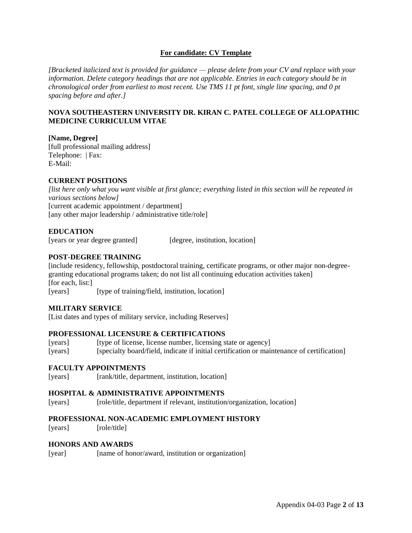# **For candidate: CV Template**

*[Bracketed italicized text is provided for guidance — please delete from your CV and replace with your information. Delete category headings that are not applicable. Entries in each category should be in chronological order from earliest to most recent. Use TMS 11 pt font, single line spacing, and 0 pt spacing before and after.]*

## **NOVA SOUTHEASTERN UNIVERSITY DR. KIRAN C. PATEL COLLEGE OF ALLOPATHIC MEDICINE CURRICULUM VITAE**

# **[Name, Degree]**

[full professional mailing address] Telephone: | Fax: E-Mail:

# **CURRENT POSITIONS**

*[list here only what you want visible at first glance; everything listed in this section will be repeated in various sections below]* [current academic appointment / department] [any other major leadership / administrative title/role]

# **EDUCATION**

[years or year degree granted] [degree, institution, location]

# **POST-DEGREE TRAINING**

[include residency, fellowship, postdoctoral training, certificate programs, or other major non-degreegranting educational programs taken; do not list all continuing education activities taken] [for each, list:] [years] [type of training/field, institution, location]

## **MILITARY SERVICE**

[List dates and types of military service, including Reserves]

## **PROFESSIONAL LICENSURE & CERTIFICATIONS**

[vears] [type of license, license number, licensing state or agency] [years] [specialty board/field, indicate if initial certification or maintenance of certification]

## **FACULTY APPOINTMENTS**

[years] [rank/title, department, institution, location]

## **HOSPITAL & ADMINISTRATIVE APPOINTMENTS**

[years] [role/title, department if relevant, institution/organization, location]

## **PROFESSIONAL NON-ACADEMIC EMPLOYMENT HISTORY**

[years] [role/title]

## **HONORS AND AWARDS**

[year] [name of honor/award, institution or organization]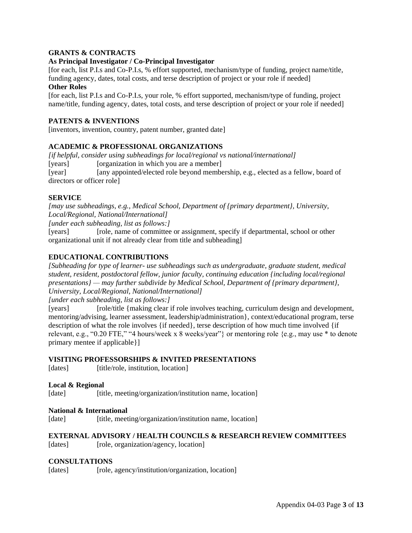# **GRANTS & CONTRACTS**

# **As Principal Investigator / Co-Principal Investigator**

[for each, list P.I.s and Co-P.I.s, % effort supported, mechanism/type of funding, project name/title, funding agency, dates, total costs, and terse description of project or your role if needed]

## **Other Roles**

[for each, list P.I.s and Co-P.I.s, your role, % effort supported, mechanism/type of funding, project name/title, funding agency, dates, total costs, and terse description of project or your role if needed]

# **PATENTS & INVENTIONS**

[inventors, invention, country, patent number, granted date]

# **ACADEMIC & PROFESSIONAL ORGANIZATIONS**

*[if helpful, consider using subheadings for local/regional vs national/international]* [years] [organization in which you are a member] [year] [any appointed/elected role beyond membership, e.g., elected as a fellow, board of directors or officer role]

## **SERVICE**

*[may use subheadings, e.g., Medical School, Department of {primary department}, University, Local/Regional, National/International]*

*[under each subheading, list as follows:]*

[years] [role, name of committee or assignment, specify if departmental, school or other organizational unit if not already clear from title and subheading]

# **EDUCATIONAL CONTRIBUTIONS**

*[Subheading for type of learner- use subheadings such as undergraduate, graduate student, medical student, resident, postdoctoral fellow, junior faculty, continuing education {including local/regional presentations} — may further subdivide by Medical School, Department of {primary department}, University, Local/Regional, National/International]*

*[under each subheading, list as follows:]*

[years] [role/title {making clear if role involves teaching, curriculum design and development, mentoring/advising, learner assessment, leadership/administration}, context/educational program, terse description of what the role involves {if needed}, terse description of how much time involved {if relevant, e.g., "0.20 FTE," "4 hours/week x 8 weeks/year"} or mentoring role {e.g., may use \* to denote primary mentee if applicable}]

## **VISITING PROFESSORSHIPS & INVITED PRESENTATIONS**

[dates] [title/role, institution, location]

## **Local & Regional**

[date] [title, meeting/organization/institution name, location]

## **National & International**

[date] [title, meeting/organization/institution name, location]

## **EXTERNAL ADVISORY / HEALTH COUNCILS & RESEARCH REVIEW COMMITTEES**

[dates] [role, organization/agency, location]

## **CONSULTATIONS**

[dates] [role, agency/institution/organization, location]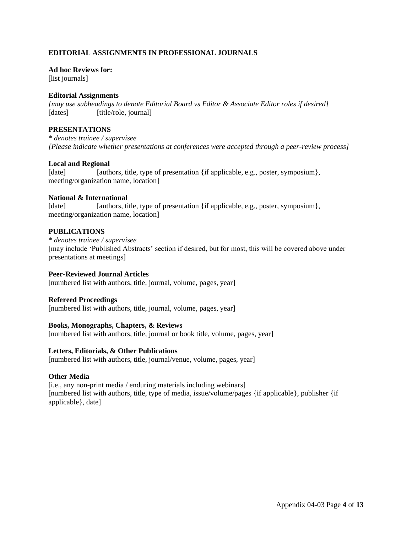# **EDITORIAL ASSIGNMENTS IN PROFESSIONAL JOURNALS**

**Ad hoc Reviews for:** [list journals]

# **Editorial Assignments**

*[may use subheadings to denote Editorial Board vs Editor & Associate Editor roles if desired]* [dates] [title/role, journal]

# **PRESENTATIONS**

*\* denotes trainee / supervisee [Please indicate whether presentations at conferences were accepted through a peer-review process]*

# **Local and Regional**

[date] [authors, title, type of presentation {if applicable, e.g., poster, symposium}, meeting/organization name, location]

# **National & International**

[date] [authors, title, type of presentation {if applicable, e.g., poster, symposium}, meeting/organization name, location]

# **PUBLICATIONS**

#### *\* denotes trainee / supervisee*

[may include 'Published Abstracts' section if desired, but for most, this will be covered above under presentations at meetings]

# **Peer-Reviewed Journal Articles**

[numbered list with authors, title, journal, volume, pages, year]

## **Refereed Proceedings**

[numbered list with authors, title, journal, volume, pages, year]

# **Books, Monographs, Chapters, & Reviews**

[numbered list with authors, title, journal or book title, volume, pages, year]

## **Letters, Editorials, & Other Publications**

[numbered list with authors, title, journal/venue, volume, pages, year]

## **Other Media**

[i.e., any non-print media / enduring materials including webinars] [numbered list with authors, title, type of media, issue/volume/pages {if applicable}, publisher {if applicable}, date]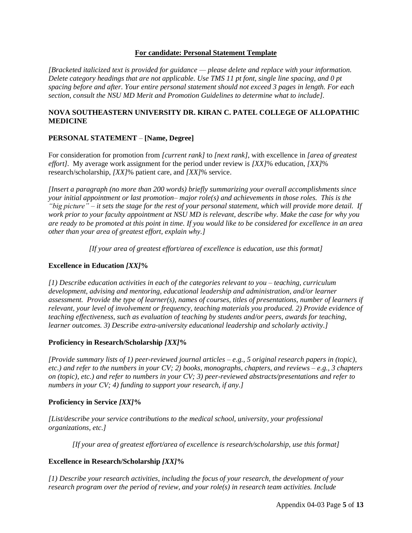## **For candidate: Personal Statement Template**

*[Bracketed italicized text is provided for guidance — please delete and replace with your information. Delete category headings that are not applicable. Use TMS 11 pt font, single line spacing, and 0 pt spacing before and after. Your entire personal statement should not exceed 3 pages in length. For each section, consult the NSU MD Merit and Promotion Guidelines to determine what to include].*

# **NOVA SOUTHEASTERN UNIVERSITY DR. KIRAN C. PATEL COLLEGE OF ALLOPATHIC MEDICINE**

# **PERSONAL STATEMENT** – **[Name, Degree]**

For consideration for promotion from *[current rank]* to *[next rank]*, with excellence in *[area of greatest effort]*. My average work assignment for the period under review is *[XX]*% education, *[XX]*% research/scholarship, *[XX]*% patient care, and *[XX]*% service.

*[Insert a paragraph (no more than 200 words) briefly summarizing your overall accomplishments since your initial appointment or last promotion– major role(s) and achievements in those roles. This is the "big picture" – it sets the stage for the rest of your personal statement, which will provide more detail. If work prior to your faculty appointment at NSU MD is relevant, describe why. Make the case for why you are ready to be promoted at this point in time. If you would like to be considered for excellence in an area other than your area of greatest effort, explain why.]*

*[If your area of greatest effort/area of excellence is education, use this format]*

# **Excellence in Education** *[XX]***%**

*[1) Describe education activities in each of the categories relevant to you – teaching, curriculum development, advising and mentoring, educational leadership and administration, and/or learner assessment. Provide the type of learner(s), names of courses, titles of presentations, number of learners if relevant, your level of involvement or frequency, teaching materials you produced. 2) Provide evidence of teaching effectiveness, such as evaluation of teaching by students and/or peers, awards for teaching, learner outcomes. 3) Describe extra-university educational leadership and scholarly activity.]*

# **Proficiency in Research/Scholarship** *[XX]***%**

*[Provide summary lists of 1) peer-reviewed journal articles – e.g., 5 original research papers in (topic), etc.) and refer to the numbers in your CV; 2) books, monographs, chapters, and reviews – e.g., 3 chapters on (topic), etc.) and refer to numbers in your CV; 3) peer-reviewed abstracts/presentations and refer to numbers in your CV; 4) funding to support your research, if any.]*

# **Proficiency in Service** *[XX]***%**

*[List/describe your service contributions to the medical school, university, your professional organizations, etc.]*

*[If your area of greatest effort/area of excellence is research/scholarship, use this format]*

# **Excellence in Research/Scholarship** *[XX]***%**

*[1) Describe your research activities, including the focus of your research, the development of your research program over the period of review, and your role(s) in research team activities. Include*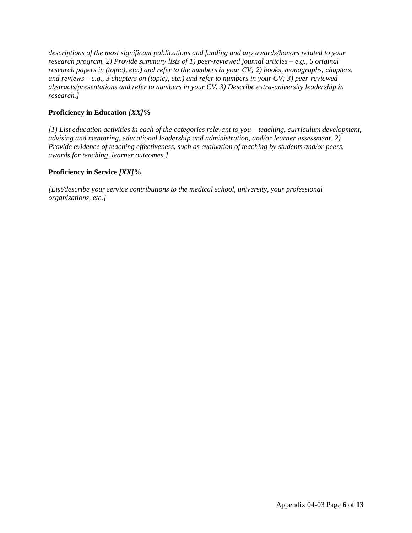*descriptions of the most significant publications and funding and any awards/honors related to your research program. 2) Provide summary lists of 1) peer-reviewed journal articles – e.g., 5 original research papers in (topic), etc.) and refer to the numbers in your CV; 2) books, monographs, chapters, and reviews – e.g., 3 chapters on (topic), etc.) and refer to numbers in your CV; 3) peer-reviewed abstracts/presentations and refer to numbers in your CV. 3) Describe extra-university leadership in research.]*

# **Proficiency in Education** *[XX]***%**

*[1) List education activities in each of the categories relevant to you – teaching, curriculum development, advising and mentoring, educational leadership and administration, and/or learner assessment. 2) Provide evidence of teaching effectiveness, such as evaluation of teaching by students and/or peers, awards for teaching, learner outcomes.]*

# **Proficiency in Service** *[XX]***%**

*[List/describe your service contributions to the medical school, university, your professional organizations, etc.]*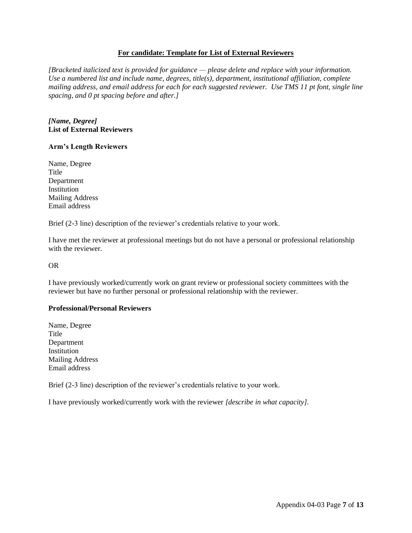## **For candidate: Template for List of External Reviewers**

*[Bracketed italicized text is provided for guidance — please delete and replace with your information. Use a numbered list and include name, degrees, title(s), department, institutional affiliation, complete mailing address, and email address for each for each suggested reviewer. Use TMS 11 pt font, single line spacing, and 0 pt spacing before and after.]*

## *[Name, Degree]* **List of External Reviewers**

#### **Arm's Length Reviewers**

Name, Degree Title Department Institution Mailing Address Email address

Brief (2-3 line) description of the reviewer's credentials relative to your work.

I have met the reviewer at professional meetings but do not have a personal or professional relationship with the reviewer.

OR

I have previously worked/currently work on grant review or professional society committees with the reviewer but have no further personal or professional relationship with the reviewer.

#### **Professional/Personal Reviewers**

Name, Degree Title Department Institution Mailing Address Email address

Brief (2-3 line) description of the reviewer's credentials relative to your work.

I have previously worked/currently work with the reviewer *[describe in what capacity]*.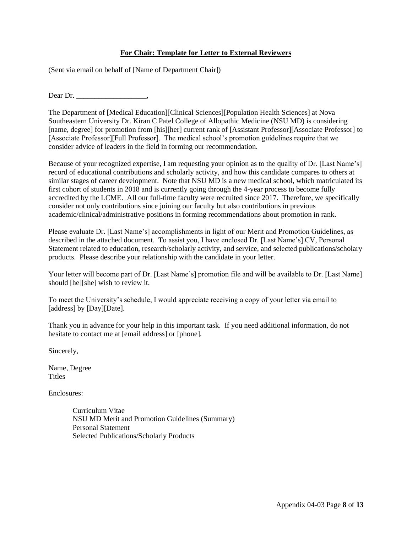# **For Chair: Template for Letter to External Reviewers**

(Sent via email on behalf of [Name of Department Chair])

Dear Dr.

The Department of [Medical Education][Clinical Sciences][Population Health Sciences] at Nova Southeastern University Dr. Kiran C Patel College of Allopathic Medicine (NSU MD) is considering [name, degree] for promotion from [his][her] current rank of [Assistant Professor][Associate Professor] to [Associate Professor][Full Professor]. The medical school's promotion guidelines require that we consider advice of leaders in the field in forming our recommendation.

Because of your recognized expertise, I am requesting your opinion as to the quality of Dr. [Last Name's] record of educational contributions and scholarly activity, and how this candidate compares to others at similar stages of career development. Note that NSU MD is a new medical school, which matriculated its first cohort of students in 2018 and is currently going through the 4-year process to become fully accredited by the LCME. All our full-time faculty were recruited since 2017. Therefore, we specifically consider not only contributions since joining our faculty but also contributions in previous academic/clinical/administrative positions in forming recommendations about promotion in rank.

Please evaluate Dr. [Last Name's] accomplishments in light of our Merit and Promotion Guidelines, as described in the attached document. To assist you, I have enclosed Dr. [Last Name's] CV, Personal Statement related to education, research/scholarly activity, and service, and selected publications/scholary products. Please describe your relationship with the candidate in your letter.

Your letter will become part of Dr. [Last Name's] promotion file and will be available to Dr. [Last Name] should [he][she] wish to review it.

To meet the University's schedule, I would appreciate receiving a copy of your letter via email to [address] by [Day][Date].

Thank you in advance for your help in this important task. If you need additional information, do not hesitate to contact me at [email address] or [phone].

Sincerely,

Name, Degree Titles

Enclosures:

Curriculum Vitae NSU MD Merit and Promotion Guidelines (Summary) Personal Statement Selected Publications/Scholarly Products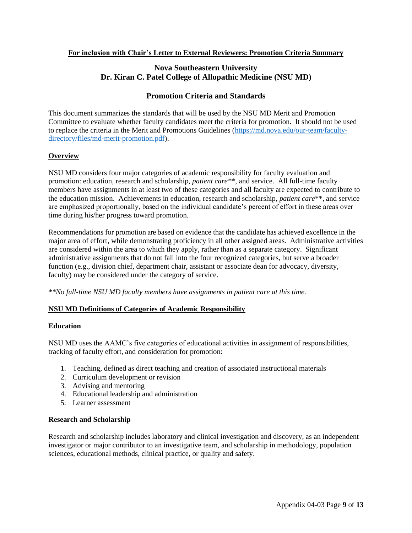# **For inclusion with Chair's Letter to External Reviewers: Promotion Criteria Summary**

# **Nova Southeastern University Dr. Kiran C. Patel College of Allopathic Medicine (NSU MD)**

# **Promotion Criteria and Standards**

This document summarizes the standards that will be used by the NSU MD Merit and Promotion Committee to evaluate whether faculty candidates meet the criteria for promotion. It should not be used to replace the criteria in the Merit and Promotions Guidelines [\(https://md.nova.edu/our-team/faculty](https://md.nova.edu/our-team/faculty-directory/files/md-merit-promotion.pdf)[directory/files/md-merit-promotion.pdf\)](https://md.nova.edu/our-team/faculty-directory/files/md-merit-promotion.pdf).

# **Overview**

NSU MD considers four major categories of academic responsibility for faculty evaluation and promotion: education, research and scholarship, *patient care\*\**, and service. All full-time faculty members have assignments in at least two of these categories and all faculty are expected to contribute to the education mission. Achievements in education, research and scholarship, *patient care*\*\*, and service are emphasized proportionally, based on the individual candidate's percent of effort in these areas over time during his/her progress toward promotion.

Recommendations for promotion are based on evidence that the candidate has achieved excellence in the major area of effort, while demonstrating proficiency in all other assigned areas. Administrative activities are considered within the area to which they apply, rather than as a separate category. Significant administrative assignments that do not fall into the four recognized categories, but serve a broader function (e.g., division chief, department chair, assistant or associate dean for advocacy, diversity, faculty) may be considered under the category of service.

*\*\*No full-time NSU MD faculty members have assignments in patient care at this time.*

## **NSU MD Definitions of Categories of Academic Responsibility**

## **Education**

NSU MD uses the AAMC's five categories of educational activities in assignment of responsibilities, tracking of faculty effort, and consideration for promotion:

- 1. Teaching, defined as direct teaching and creation of associated instructional materials
- 2. Curriculum development or revision
- 3. Advising and mentoring
- 4. Educational leadership and administration
- 5. Learner assessment

## **Research and Scholarship**

Research and scholarship includes laboratory and clinical investigation and discovery, as an independent investigator or major contributor to an investigative team, and scholarship in methodology, population sciences, educational methods, clinical practice, or quality and safety.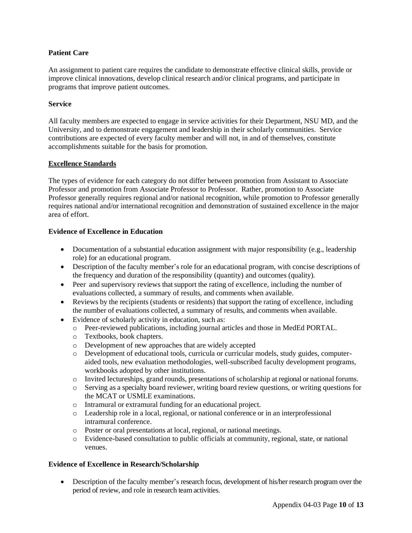# **Patient Care**

An assignment to patient care requires the candidate to demonstrate effective clinical skills, provide or improve clinical innovations, develop clinical research and/or clinical programs, and participate in programs that improve patient outcomes.

## **Service**

All faculty members are expected to engage in service activities for their Department, NSU MD, and the University, and to demonstrate engagement and leadership in their scholarly communities. Service contributions are expected of every faculty member and will not, in and of themselves, constitute accomplishments suitable for the basis for promotion.

## **Excellence Standards**

The types of evidence for each category do not differ between promotion from Assistant to Associate Professor and promotion from Associate Professor to Professor. Rather, promotion to Associate Professor generally requires regional and/or national recognition, while promotion to Professor generally requires national and/or international recognition and demonstration of sustained excellence in the major area of effort.

## **Evidence of Excellence in Education**

- Documentation of a substantial education assignment with major responsibility (e.g., leadership role) for an educational program.
- Description of the faculty member's role for an educational program, with concise descriptions of the frequency and duration of the responsibility (quantity) and outcomes (quality).
- Peer and supervisory reviews that support the rating of excellence, including the number of evaluations collected, a summary of results, and comments when available.
- Reviews by the recipients (students or residents) that support the rating of excellence, including the number of evaluations collected, a summary of results, and comments when available.
- Evidence of scholarly activity in education, such as:
	- o Peer-reviewed publications, including journal articles and those in MedEd PORTAL.
	- o Textbooks, book chapters.
	- o Development of new approaches that are widely accepted
	- o Development of educational tools, curricula or curricular models, study guides, computeraided tools, new evaluation methodologies, well-subscribed faculty development programs, workbooks adopted by other institutions.
	- o Invited lectureships, grand rounds, presentations of scholarship at regional or national forums.
	- o Serving as a specialty board reviewer, writing board review questions, or writing questions for the MCAT or USMLE examinations.
	- o Intramural or extramural funding for an educational project.
	- o Leadership role in a local, regional, or national conference or in an interprofessional intramural conference.
	- o Poster or oral presentations at local, regional, or national meetings.
	- o Evidence-based consultation to public officials at community, regional, state, or national venues.

## **Evidence of Excellence in Research/Scholarship**

• Description of the faculty member's research focus, development of his/her research program over the period of review, and role in research team activities.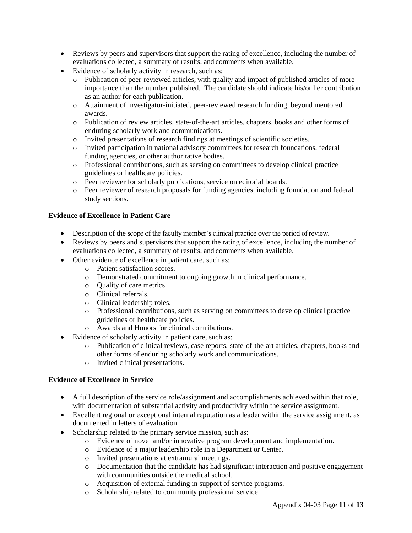- Reviews by peers and supervisors that support the rating of excellence, including the number of evaluations collected, a summary of results, and comments when available.
- Evidence of scholarly activity in research, such as:
	- o Publication of peer-reviewed articles, with quality and impact of published articles of more importance than the number published. The candidate should indicate his/or her contribution as an author for each publication.
	- o Attainment of investigator-initiated, peer-reviewed research funding, beyond mentored awards.
	- o Publication of review articles, state-of-the-art articles, chapters, books and other forms of enduring scholarly work and communications.
	- o Invited presentations of research findings at meetings of scientific societies.
	- o Invited participation in national advisory committees for research foundations, federal funding agencies, or other authoritative bodies.
	- o Professional contributions, such as serving on committees to develop clinical practice guidelines or healthcare policies.
	- o Peer reviewer for scholarly publications, service on editorial boards.
	- o Peer reviewer of research proposals for funding agencies, including foundation and federal study sections.

#### **Evidence of Excellence in Patient Care**

- Description of the scope of the faculty member's clinical practice over the period of review.
- Reviews by peers and supervisors that support the rating of excellence, including the number of evaluations collected, a summary of results, and comments when available.
- Other evidence of excellence in patient care, such as:
	- o Patient satisfaction scores.
	- o Demonstrated commitment to ongoing growth in clinical performance.
	- o Quality of care metrics.
	- o Clinical referrals.
	- o Clinical leadership roles.
	- o Professional contributions, such as serving on committees to develop clinical practice guidelines or healthcare policies.
	- o Awards and Honors for clinical contributions.
- Evidence of scholarly activity in patient care, such as:
	- o Publication of clinical reviews, case reports, state-of-the-art articles, chapters, books and other forms of enduring scholarly work and communications.
	- o Invited clinical presentations.

## **Evidence of Excellence in Service**

- A full description of the service role/assignment and accomplishments achieved within that role, with documentation of substantial activity and productivity within the service assignment.
- Excellent regional or exceptional internal reputation as a leader within the service assignment, as documented in letters of evaluation.
- Scholarship related to the primary service mission, such as:
	- o Evidence of novel and/or innovative program development and implementation.
	- o Evidence of a major leadership role in a Department or Center.
	- o Invited presentations at extramural meetings.
	- o Documentation that the candidate has had significant interaction and positive engagement with communities outside the medical school.
	- o Acquisition of external funding in support of service programs.
	- o Scholarship related to community professional service.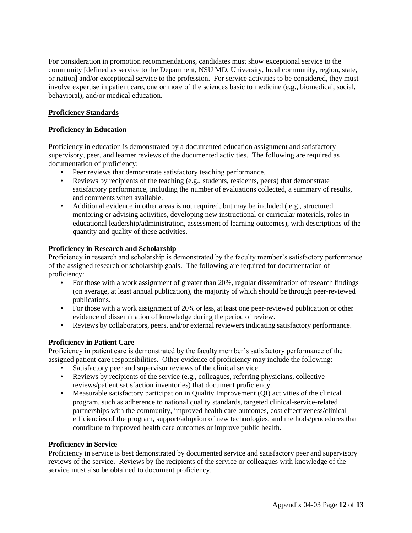For consideration in promotion recommendations, candidates must show exceptional service to the community [defined as service to the Department, NSU MD, University, local community, region, state, or nation] and/or exceptional service to the profession. For service activities to be considered, they must involve expertise in patient care, one or more of the sciences basic to medicine (e.g., biomedical, social, behavioral), and/or medical education.

# **Proficiency Standards**

# **Proficiency in Education**

Proficiency in education is demonstrated by a documented education assignment and satisfactory supervisory, peer, and learner reviews of the documented activities. The following are required as documentation of proficiency:

- Peer reviews that demonstrate satisfactory teaching performance.
- Reviews by recipients of the teaching (e.g., students, residents, peers) that demonstrate satisfactory performance, including the number of evaluations collected, a summary of results, and comments when available.
- Additional evidence in other areas is not required, but may be included (e.g., structured mentoring or advising activities, developing new instructional or curricular materials, roles in educational leadership/administration, assessment of learning outcomes), with descriptions of the quantity and quality of these activities.

# **Proficiency in Research and Scholarship**

Proficiency in research and scholarship is demonstrated by the faculty member's satisfactory performance of the assigned research or scholarship goals. The following are required for documentation of proficiency:

- For those with a work assignment of greater than 20%, regular dissemination of research findings (on average, at least annual publication), the majority of which should be through peer-reviewed publications.
- For those with a work assignment of 20% or less, at least one peer-reviewed publication or other evidence of dissemination of knowledge during the period of review.
- Reviews by collaborators, peers, and/or external reviewers indicating satisfactory performance.

## **Proficiency in Patient Care**

Proficiency in patient care is demonstrated by the faculty member's satisfactory performance of the assigned patient care responsibilities. Other evidence of proficiency may include the following:

- Satisfactory peer and supervisor reviews of the clinical service.
- Reviews by recipients of the service (e.g., colleagues, referring physicians, collective reviews/patient satisfaction inventories) that document proficiency.
- Measurable satisfactory participation in Quality Improvement (QI) activities of the clinical program, such as adherence to national quality standards, targeted clinical-service-related partnerships with the community, improved health care outcomes, cost effectiveness/clinical efficiencies of the program, support/adoption of new technologies, and methods/procedures that contribute to improved health care outcomes or improve public health.

## **Proficiency in Service**

Proficiency in service is best demonstrated by documented service and satisfactory peer and supervisory reviews of the service. Reviews by the recipients of the service or colleagues with knowledge of the service must also be obtained to document proficiency.